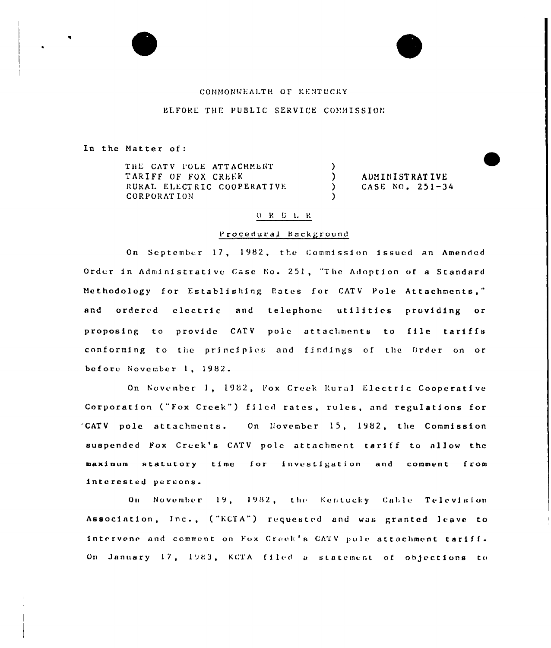# COMMONWEALTH OF KENTUCKY

## BEFORE THE PUBLIC SERVICE COMMISSION

In the Matter of:

THE CATY POLE ATTACHMENT TARIFF OF FOX CREEK RURAL ELECTRIC COOPERATIVE **CORPORATION** 

ADMINISTRATIVE CASE NO.  $251 - 34$ 

# $\begin{array}{cccccc} O & R & D & L & R \end{array}$

 $\lambda$ 

 $\lambda$ 

 $\mathbf{A}$ 

#### Procedural Background

On September 17, 1982, the Commission issued an Amended Order in Administrative Case No. 251, "The Adoption of a Standard Methodology for Establishing Rates for CATV Pole Attachments," and ordered electric and telephone utilities providing or proposing to provide CATV pole attachments to file tariffs conforming to the principles and findings of the Order on or before November 1, 1982.

On November 1, 1982, Fox Creek Rural Electric Cooperative Corporation ("Fox Creek") filed rates, rules, and regulations for 'CATV pole attachments. On November 15, 1982, the Commission suspended Fox Creek's CATV pole attachment tariff to allow the maximum statutory time for investigation and comment from interested persons.

On November 19, 1982, the Kentucky Cable Television Association, Inc., ("KCTA") requested and was granted leave to intervene and comment on Fox Creek's CATV pole attachment tariff. On January 17, 1983, KCTA filed a statement of objections to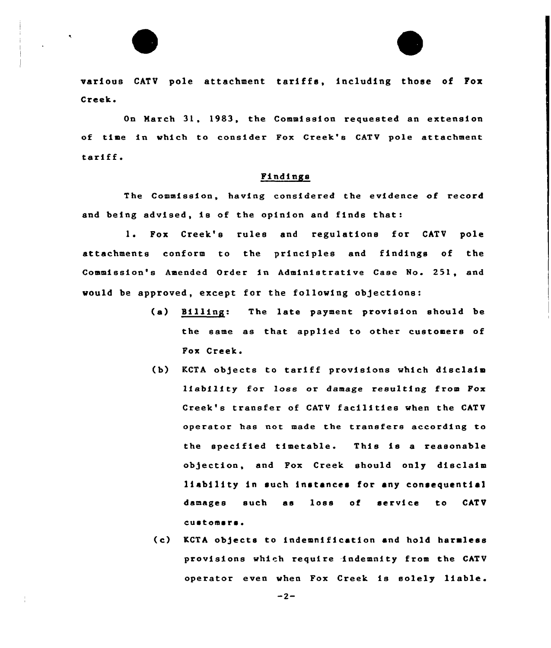

various CATV pole attachment tariffs, including those of Fox Creek.

On March 31. 1983, the Commission requested an extension of time in which to consider Fox Creek'e CATV pole attachment tariff.

## Findings

The Commission, having considered the evidence of record and being advised, ie of the opinion and finds that:

1. Fox Creek's rules and regulatione for CATV pole attachments conform to the principles and findings of the Commission's Amended Order in Administrative Case No. 251, and would be approved, except for the following objections:

- (a) Billing: The late payment provision should be the same as that applied to other customers of Pox Creek.
- (b) RCTA objects to tariff provisions which disclaim liability for loss or damage resulting from Fox Creek'e transfer of CATV facilities when the CATV operator hae not made the transfers according to the specified timetable. This is <sup>a</sup> reasonable objection, and Fox Creek should only disclaim liability in such instances for any consequential damages such as loss of service to CATV customsrs.
- (c) KCTA objects to indemnification and hold harmless provisions which require indemnity from the CATV operator even when Pox Creek is solely liable.

 $-2-$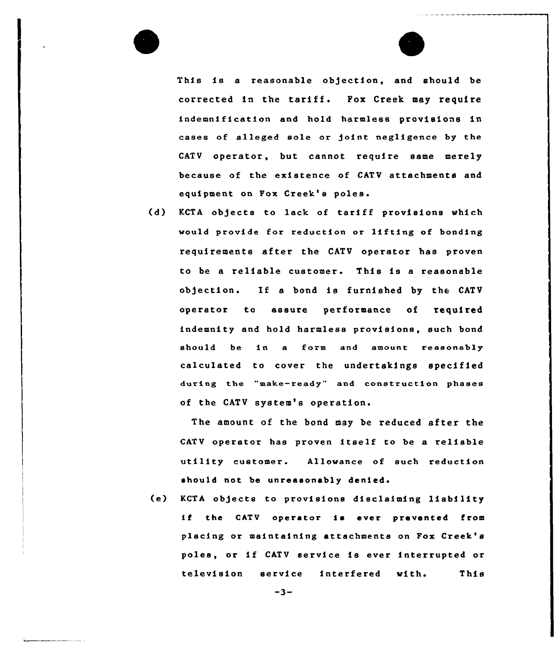This is a reasonable objection, and should be corrected in the tariff. Fox Creek may require indemnification end hold harmless provisions in cases of alleged sole or joint negligence by the CATV operator, but cannot require same merely because of the existence of CATV attachments and equipment on Pox Creek's poles.

(d) KCTA objects to lack of tariff provisions which would provide for reduction or lifting of bonding requirements after the CATV operator has prove to be a reliable customer. This is a reasonabl ob)ection. If <sup>a</sup> bond is furnished by the CATV operator to assure performance of required indemnity end hold harmless provisions, such bond should be in a form and amount reasonably calculated to cover the undertakings specified during the "make-ready" and construction phases of the CATV system's operation.

The amount of the bond may be reduced after the CATV operator has proven itself to be <sup>a</sup> reliable utility customer. Allowance of such reduction should not be unreasonably denied.

(e) KCTA objects to provisions disclaiming liability if the CATV operator is ever prevented from placing or maintaining attachments on Fox Creek's poles, or if CATV service is ever interrupted or television service interfered with. This

 $-3-$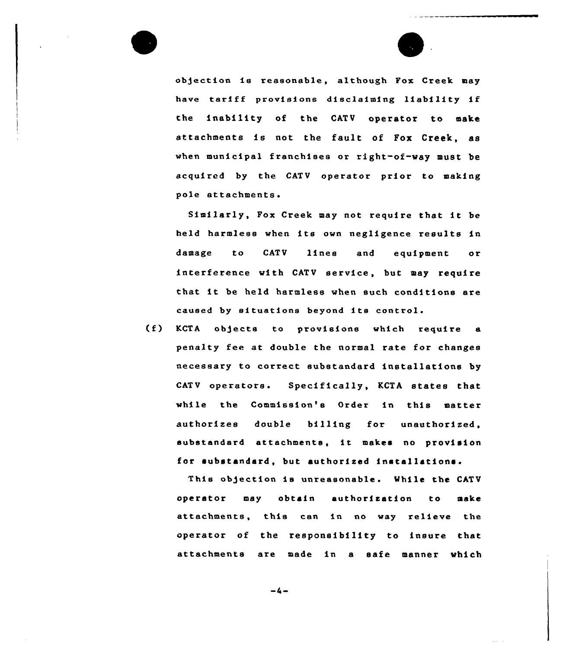

ob)ection is reasonable, although Fox Creek may have tariff provisions disclaiming liability if the inability of the CATV operator to make attachments is not the fault of Fox Creek, as when municipal franchises or right-of-way must be acquired by the CATV operator prior to making pole attachments.

Similarly, Fox Creek may not require that it be held harmless when its own negligence results in damage to CATV lines and equipment or interference with CATV service, but may require that it be held harmless when such conditions are caused by situations beyond its control.

(f) KCTA ob)ects to pxovisions which require <sup>a</sup> penalty fee at double the normal rate for changes necessary to correct substandard installations by CATV operators. Specifically, KCTA states that while the Commission's Order in this matter authorizes double billing for unauthorized, substandard attachments, it makes no provision for substandard, but authorized installations.

This objection is unreasonable. While the CATV operator may obtain authorization to make attachments, this can in no way relieve the operator of the responsibility to insuxe that attachments are made in a safe manner which

 $-4-$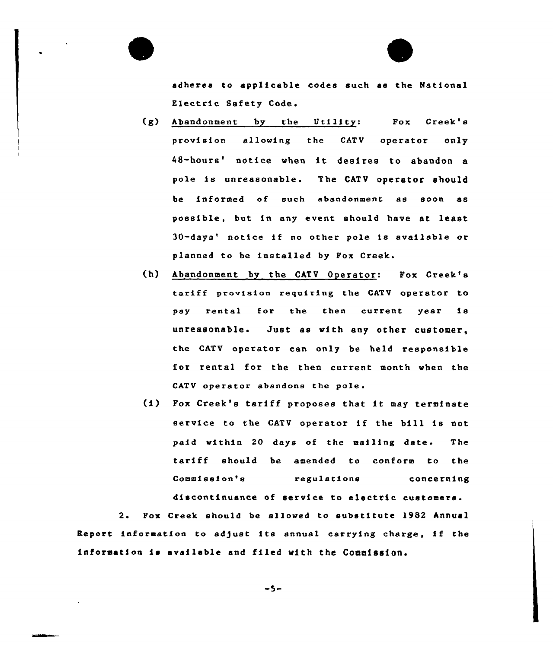adheres to applicable codes such as the National Electric Safety Code.

- (g) Abandonment by the Utility: Pox Creek's provision allowing the CATV operator only 48-hours' notice when it desires to abandon a pole is unreasonable. The CATV operator should be informed of such abandonment as soon as possible, but in any event should have at least 30-days' notice if no other pole is available or planned to be installed by Fox Creek.
- (h) Abandonment by the CATV Operator: Pox Creek's tariff provision requiring the CATV operator to pay rental for the then current year is unreasonable. Just as with any other customer, the CATV operator can only be held responsible for rental for the then current month when the CATV operator abandons the pole.
- (i) Pox Creek's tariff proposes that it may terminate service to the CATV operator if the bill is not paid within 20 days of the mailing date. The tariff should be amended to conform to the Commission's regulations concerning discontinuance of service to electric customers.

2. Fox Creek should be allowed to substitute 1982 Annual Report information to adjust its annual carrying charge, if the information is available and filed with the Commission.

 $-5-$